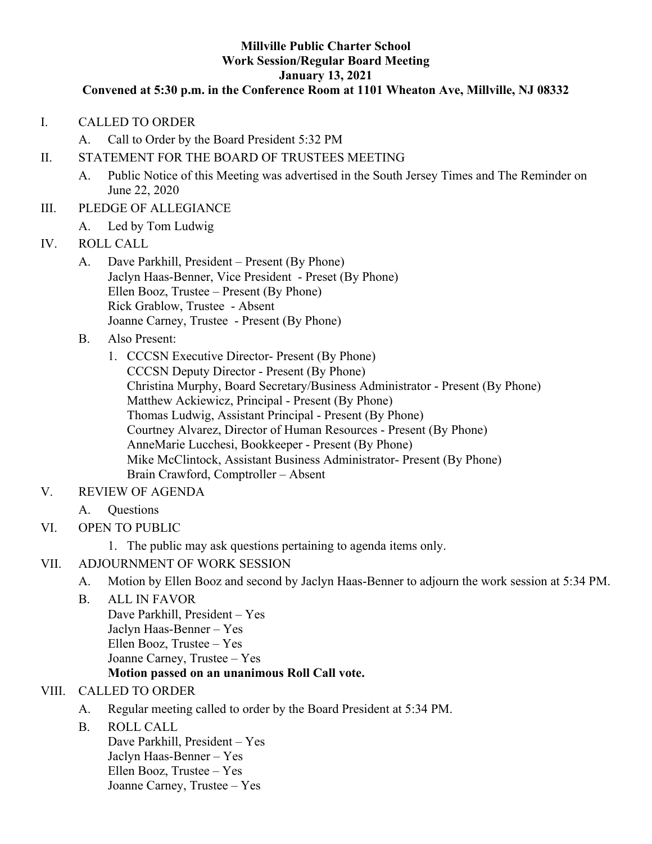#### **Millville Public Charter School Work Session/Regular Board Meeting January 13, 2021**

#### **Convened at 5:30 p.m. in the Conference Room at 1101 Wheaton Ave, Millville, NJ 08332**

I. CALLED TO ORDER

A. Call to Order by the Board President 5:32 PM

#### II. STATEMENT FOR THE BOARD OF TRUSTEES MEETING

- A. Public Notice of this Meeting was advertised in the South Jersey Times and The Reminder on June 22, 2020
- III. PLEDGE OF ALLEGIANCE
	- A. Led by Tom Ludwig
- IV. ROLL CALL
	- A. Dave Parkhill, President Present (By Phone) Jaclyn Haas-Benner, Vice President - Preset (By Phone) Ellen Booz, Trustee – Present (By Phone) Rick Grablow, Trustee - Absent Joanne Carney, Trustee - Present (By Phone)
	- B. Also Present:
		- 1. CCCSN Executive Director- Present (By Phone) CCCSN Deputy Director - Present (By Phone) Christina Murphy, Board Secretary/Business Administrator - Present (By Phone) Matthew Ackiewicz, Principal - Present (By Phone) Thomas Ludwig, Assistant Principal - Present (By Phone) Courtney Alvarez, Director of Human Resources - Present (By Phone) AnneMarie Lucchesi, Bookkeeper - Present (By Phone) Mike McClintock, Assistant Business Administrator- Present (By Phone) Brain Crawford, Comptroller – Absent
- V. REVIEW OF AGENDA
	- A. Questions
- VI. OPEN TO PUBLIC
	- 1. The public may ask questions pertaining to agenda items only.
- VII. ADJOURNMENT OF WORK SESSION
	- A. Motion by Ellen Booz and second by Jaclyn Haas-Benner to adjourn the work session at 5:34 PM.
	- B. ALL IN FAVOR Dave Parkhill, President – Yes Jaclyn Haas-Benner – Yes Ellen Booz, Trustee – Yes Joanne Carney, Trustee – Yes **Motion passed on an unanimous Roll Call vote.**

#### VIII. CALLED TO ORDER

- A. Regular meeting called to order by the Board President at 5:34 PM.
- B. ROLL CALL

Dave Parkhill, President – Yes Jaclyn Haas-Benner – Yes Ellen Booz, Trustee – Yes Joanne Carney, Trustee – Yes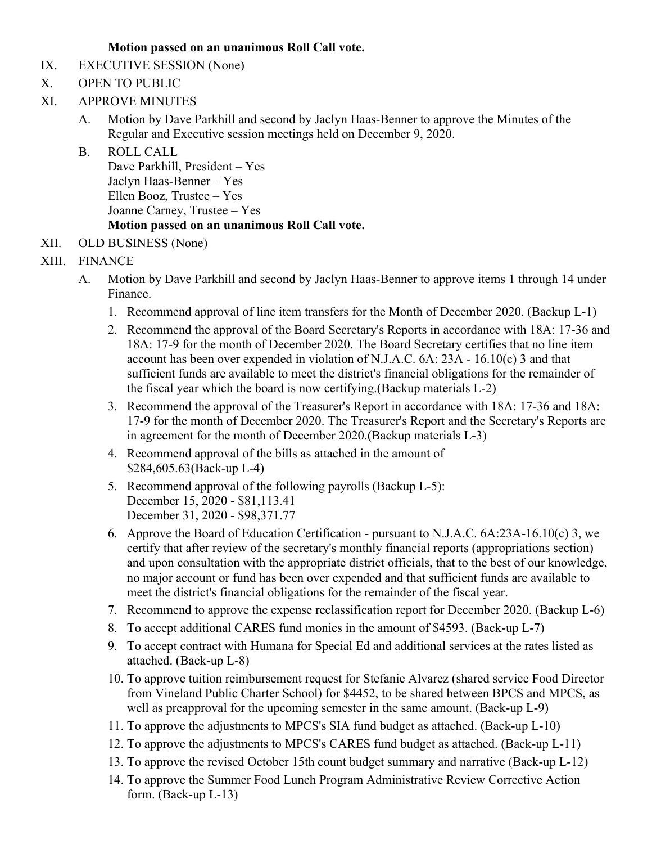### **Motion passed on an unanimous Roll Call vote.**

- IX. EXECUTIVE SESSION (None)
- X. OPEN TO PUBLIC
- XI. APPROVE MINUTES
	- A. Motion by Dave Parkhill and second by Jaclyn Haas-Benner to approve the Minutes of the Regular and Executive session meetings held on December 9, 2020.
	- B. ROLL CALL Dave Parkhill, President – Yes Jaclyn Haas-Benner – Yes Ellen Booz, Trustee – Yes Joanne Carney, Trustee – Yes **Motion passed on an unanimous Roll Call vote.**
- XII. OLD BUSINESS (None)

# XIII. FINANCE

- A. Motion by Dave Parkhill and second by Jaclyn Haas-Benner to approve items 1 through 14 under Finance.
	- 1. Recommend approval of line item transfers for the Month of December 2020. (Backup L-1)
	- 2. Recommend the approval of the Board Secretary's Reports in accordance with 18A: 17-36 and 18A: 17-9 for the month of December 2020. The Board Secretary certifies that no line item account has been over expended in violation of N.J.A.C. 6A: 23A - 16.10(c) 3 and that sufficient funds are available to meet the district's financial obligations for the remainder of the fiscal year which the board is now certifying.(Backup materials L-2)
	- 3. Recommend the approval of the Treasurer's Report in accordance with 18A: 17-36 and 18A: 17-9 for the month of December 2020. The Treasurer's Report and the Secretary's Reports are in agreement for the month of December 2020.(Backup materials L-3)
	- 4. Recommend approval of the bills as attached in the amount of \$284,605.63(Back-up L-4)
	- 5. Recommend approval of the following payrolls (Backup L-5): December 15, 2020 - \$81,113.41 December 31, 2020 - \$98,371.77
	- 6. Approve the Board of Education Certification pursuant to N.J.A.C. 6A:23A-16.10(c) 3, we certify that after review of the secretary's monthly financial reports (appropriations section) and upon consultation with the appropriate district officials, that to the best of our knowledge, no major account or fund has been over expended and that sufficient funds are available to meet the district's financial obligations for the remainder of the fiscal year.
	- 7. Recommend to approve the expense reclassification report for December 2020. (Backup L-6)
	- 8. To accept additional CARES fund monies in the amount of \$4593. (Back-up L-7)
	- 9. To accept contract with Humana for Special Ed and additional services at the rates listed as attached. (Back-up L-8)
	- 10. To approve tuition reimbursement request for Stefanie Alvarez (shared service Food Director from Vineland Public Charter School) for \$4452, to be shared between BPCS and MPCS, as well as preapproval for the upcoming semester in the same amount. (Back-up L-9)
	- 11. To approve the adjustments to MPCS's SIA fund budget as attached. (Back-up L-10)
	- 12. To approve the adjustments to MPCS's CARES fund budget as attached. (Back-up L-11)
	- 13. To approve the revised October 15th count budget summary and narrative (Back-up L-12)
	- 14. To approve the Summer Food Lunch Program Administrative Review Corrective Action form. (Back-up L-13)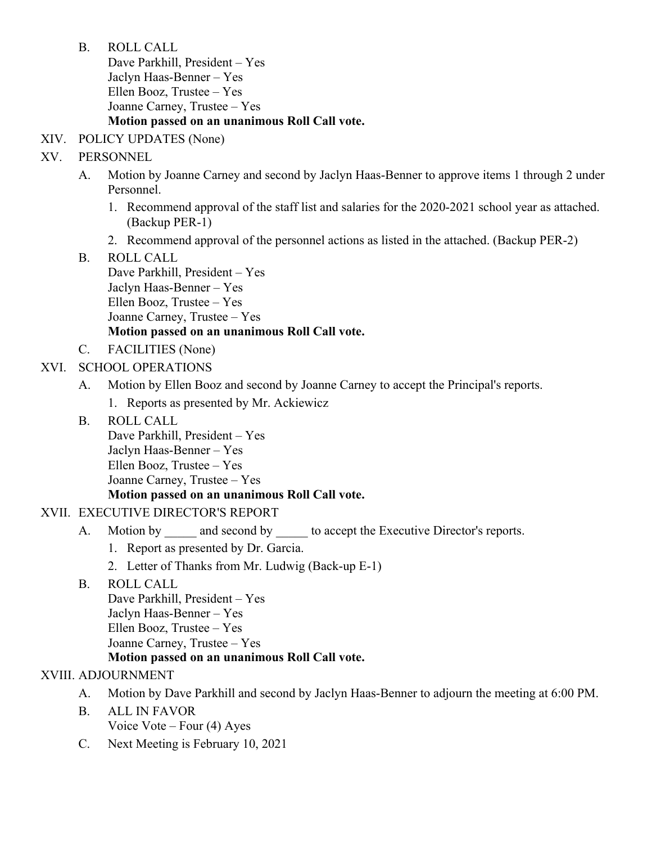B. ROLL CALL

Dave Parkhill, President – Yes Jaclyn Haas-Benner – Yes Ellen Booz, Trustee – Yes Joanne Carney, Trustee – Yes **Motion passed on an unanimous Roll Call vote.**

### XIV. POLICY UPDATES (None)

### XV. PERSONNEL

- A. Motion by Joanne Carney and second by Jaclyn Haas-Benner to approve items 1 through 2 under Personnel.
	- 1. Recommend approval of the staff list and salaries for the 2020-2021 school year as attached. (Backup PER-1)
	- 2. Recommend approval of the personnel actions as listed in the attached. (Backup PER-2)
- B. ROLL CALL Dave Parkhill, President – Yes Jaclyn Haas-Benner – Yes Ellen Booz, Trustee – Yes Joanne Carney, Trustee – Yes **Motion passed on an unanimous Roll Call vote.**
- C. FACILITIES (None)

### XVI. SCHOOL OPERATIONS

- A. Motion by Ellen Booz and second by Joanne Carney to accept the Principal's reports. 1. Reports as presented by Mr. Ackiewicz
- B. ROLL CALL Dave Parkhill, President – Yes Jaclyn Haas-Benner – Yes Ellen Booz, Trustee – Yes Joanne Carney, Trustee – Yes

### **Motion passed on an unanimous Roll Call vote.**

# XVII. EXECUTIVE DIRECTOR'S REPORT

- A. Motion by and second by to accept the Executive Director's reports.
	- 1. Report as presented by Dr. Garcia.
	- 2. Letter of Thanks from Mr. Ludwig (Back-up E-1)
- B. ROLL CALL Dave Parkhill, President – Yes Jaclyn Haas-Benner – Yes Ellen Booz, Trustee – Yes Joanne Carney, Trustee – Yes **Motion passed on an unanimous Roll Call vote.**

# XVIII. ADJOURNMENT

- A. Motion by Dave Parkhill and second by Jaclyn Haas-Benner to adjourn the meeting at 6:00 PM.
- B. ALL IN FAVOR Voice Vote – Four (4) Ayes
- C. Next Meeting is February 10, 2021